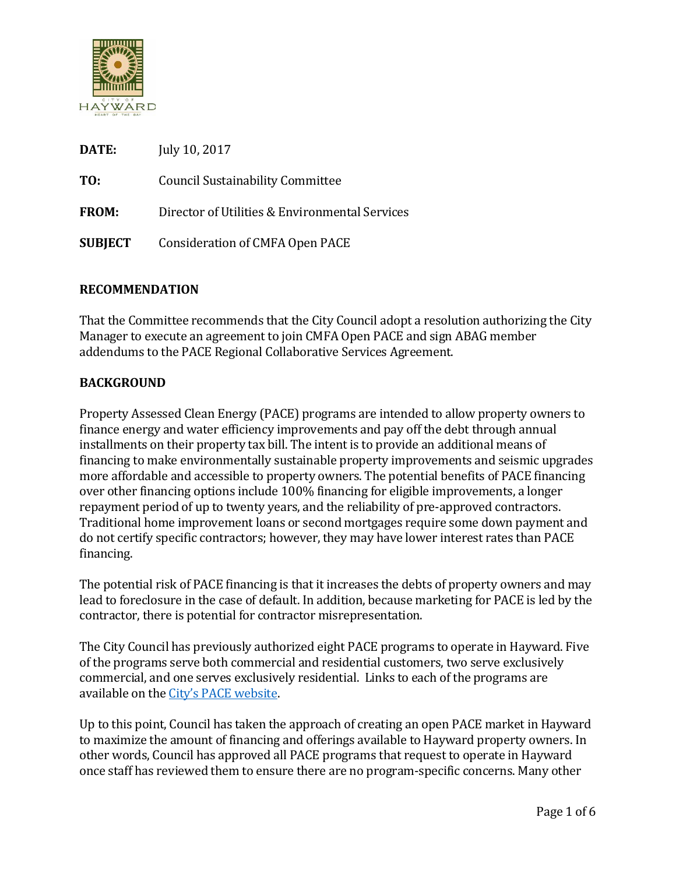

| <b>DATE:</b>   | July 10, 2017                                  |
|----------------|------------------------------------------------|
| TO:            | <b>Council Sustainability Committee</b>        |
| <b>FROM:</b>   | Director of Utilities & Environmental Services |
| <b>SUBJECT</b> | Consideration of CMFA Open PACE                |

#### **RECOMMENDATION**

That the Committee recommends that the City Council adopt a resolution authorizing the City Manager to execute an agreement to join CMFA Open PACE and sign ABAG member addendums to the PACE Regional Collaborative Services Agreement.

#### **BACKGROUND**

Property Assessed Clean Energy (PACE) programs are intended to allow property owners to finance energy and water efficiency improvements and pay off the debt through annual installments on their property tax bill. The intent is to provide an additional means of financing to make environmentally sustainable property improvements and seismic upgrades more affordable and accessible to property owners. The potential benefits of PACE financing over other financing options include 100% financing for eligible improvements, a longer repayment period of up to twenty years, and the reliability of pre-approved contractors. Traditional home improvement loans or second mortgages require some down payment and do not certify specific contractors; however, they may have lower interest rates than PACE financing.

The potential risk of PACE financing is that it increases the debts of property owners and may lead to foreclosure in the case of default. In addition, because marketing for PACE is led by the contractor, there is potential for contractor misrepresentation.

The City Council has previously authorized eight PACE programs to operate in Hayward. Five of the programs serve both commercial and residential customers, two serve exclusively commercial, and one serves exclusively residential. Links to each of the programs are available on the [City's PACE website](https://www.hayward-ca.gov/services/city-services/pace-financing-energy-and-water-upgrades).

Up to this point, Council has taken the approach of creating an open PACE market in Hayward to maximize the amount of financing and offerings available to Hayward property owners. In other words, Council has approved all PACE programs that request to operate in Hayward once staff has reviewed them to ensure there are no program-specific concerns. Many other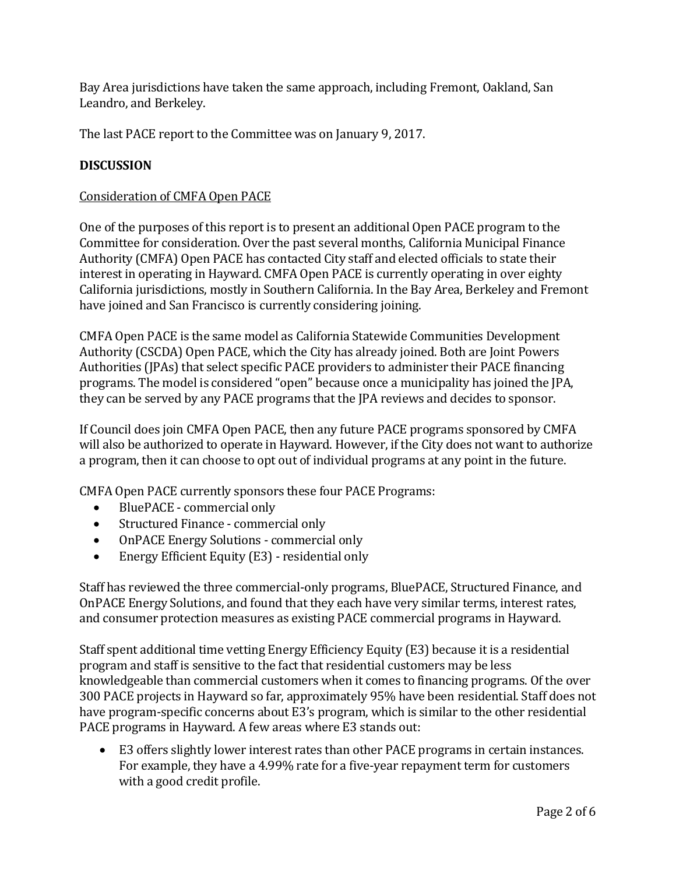Bay Area jurisdictions have taken the same approach, including Fremont, Oakland, San Leandro, and Berkeley.

The last PACE report to the Committee was on January 9, 2017.

## **DISCUSSION**

## Consideration of CMFA Open PACE

One of the purposes of this report is to present an additional Open PACE program to the Committee for consideration. Over the past several months, California Municipal Finance Authority (CMFA) Open PACE has contacted City staff and elected officials to state their interest in operating in Hayward. CMFA Open PACE is currently operating in over eighty California jurisdictions, mostly in Southern California. In the Bay Area, Berkeley and Fremont have joined and San Francisco is currently considering joining.

CMFA Open PACE is the same model as California Statewide Communities Development Authority (CSCDA) Open PACE, which the City has already joined. Both are Joint Powers Authorities (JPAs) that select specific PACE providers to administer their PACE financing programs. The model is considered "open" because once a municipality has joined the JPA, they can be served by any PACE programs that the JPA reviews and decides to sponsor.

If Council does join CMFA Open PACE, then any future PACE programs sponsored by CMFA will also be authorized to operate in Hayward. However, if the City does not want to authorize a program, then it can choose to opt out of individual programs at any point in the future.

CMFA Open PACE currently sponsors these four PACE Programs:

- BluePACE commercial only
- Structured Finance commercial only
- OnPACE Energy Solutions commercial only
- Energy Efficient Equity (E3) residential only

Staff has reviewed the three commercial-only programs, BluePACE, Structured Finance, and OnPACE Energy Solutions, and found that they each have very similar terms, interest rates, and consumer protection measures as existing PACE commercial programs in Hayward.

Staff spent additional time vetting Energy Efficiency Equity (E3) because it is a residential program and staff is sensitive to the fact that residential customers may be less knowledgeable than commercial customers when it comes to financing programs. Of the over 300 PACE projects in Hayward so far, approximately 95% have been residential. Staff does not have program-specific concerns about E3's program, which is similar to the other residential PACE programs in Hayward. A few areas where E3 stands out:

 E3 offers slightly lower interest rates than other PACE programs in certain instances. For example, they have a 4.99% rate for a five-year repayment term for customers with a good credit profile.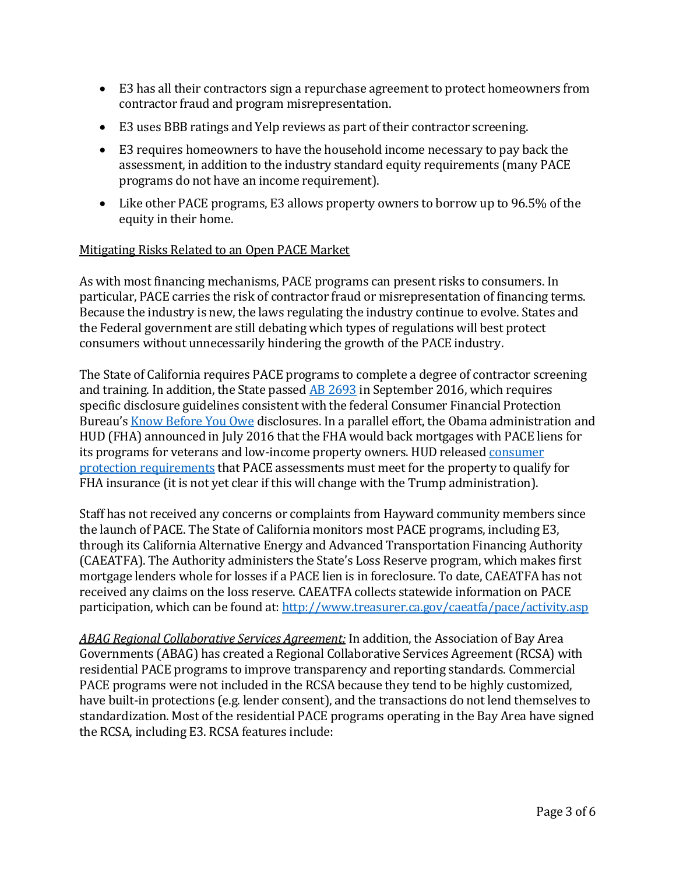- E3 has all their contractors sign a repurchase agreement to protect homeowners from contractor fraud and program misrepresentation.
- E3 uses BBB ratings and Yelp reviews as part of their contractor screening.
- E3 requires homeowners to have the household income necessary to pay back the assessment, in addition to the industry standard equity requirements (many PACE programs do not have an income requirement).
- Like other PACE programs, E3 allows property owners to borrow up to 96.5% of the equity in their home.

#### Mitigating Risks Related to an Open PACE Market

As with most financing mechanisms, PACE programs can present risks to consumers. In particular, PACE carries the risk of contractor fraud or misrepresentation of financing terms. Because the industry is new, the laws regulating the industry continue to evolve. States and the Federal government are still debating which types of regulations will best protect consumers without unnecessarily hindering the growth of the PACE industry.

The State of California requires PACE programs to complete a degree of contractor screening and training. In addition, the State passe[d AB 2693](https://leginfo.legislature.ca.gov/faces/billTextClient.xhtml?bill_id=201520160AB2693) in September 2016, which requires specific disclosure guidelines consistent with the federal Consumer Financial Protection Bureau's [Know Before You Owe](http://www.consumerfinance.gov/know-before-you-owe/) disclosures. In a parallel effort, the Obama administration and HUD (FHA) announced in July 2016 that the FHA would back mortgages with PACE liens for its programs for veterans and low-income property owners. HUD released [consumer](http://www.housingwire.com/articles/37571-fha-to-begin-insuring-mortgages-with-pace-loans)  [protection requirements](http://www.housingwire.com/articles/37571-fha-to-begin-insuring-mortgages-with-pace-loans) that PACE assessments must meet for the property to qualify for FHA insurance (it is not yet clear if this will change with the Trump administration).

Staff has not received any concerns or complaints from Hayward community members since the launch of PACE. The State of California monitors most PACE programs, including E3, through its California Alternative Energy and Advanced Transportation Financing Authority (CAEATFA). The Authority administers the State's Loss Reserve program, which makes first mortgage lenders whole for losses if a PACE lien is in foreclosure. To date, CAEATFA has not received any claims on the loss reserve. CAEATFA collects statewide information on PACE participation, which can be found at[: http://www.treasurer.ca.gov/caeatfa/pace/activity.asp](http://www.treasurer.ca.gov/caeatfa/pace/activity.asp)

*ABAG Regional Collaborative Services Agreement:* In addition, the Association of Bay Area Governments (ABAG) has created a Regional Collaborative Services Agreement (RCSA) with residential PACE programs to improve transparency and reporting standards. Commercial PACE programs were not included in the RCSA because they tend to be highly customized, have built-in protections (e.g. lender consent), and the transactions do not lend themselves to standardization. Most of the residential PACE programs operating in the Bay Area have signed the RCSA, including E3. RCSA features include: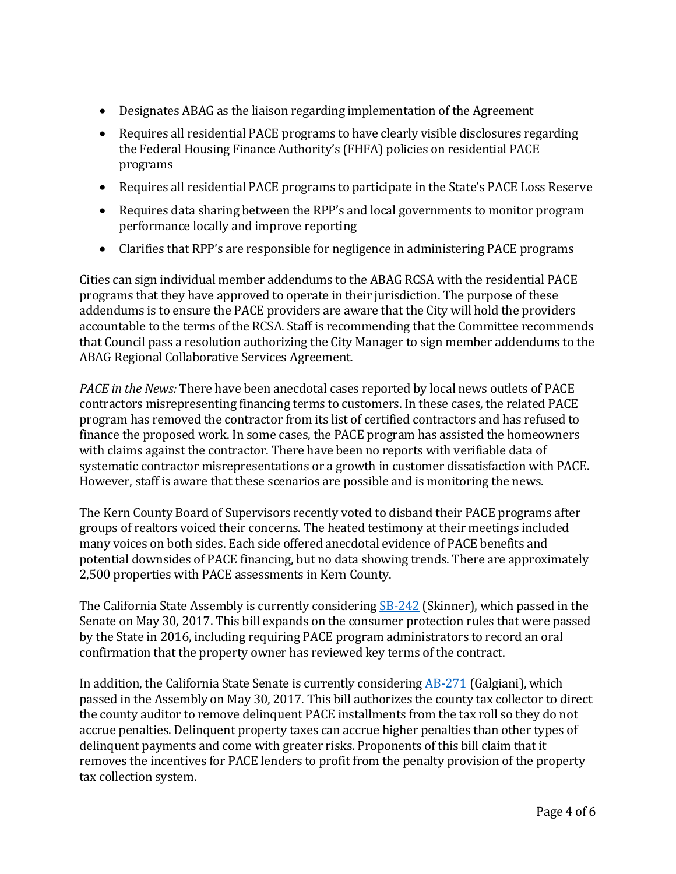- Designates ABAG as the liaison regarding implementation of the Agreement
- Requires all residential PACE programs to have clearly visible disclosures regarding the Federal Housing Finance Authority's (FHFA) policies on residential PACE programs
- Requires all residential PACE programs to participate in the State's PACE Loss Reserve
- Requires data sharing between the RPP's and local governments to monitor program performance locally and improve reporting
- Clarifies that RPP's are responsible for negligence in administering PACE programs

Cities can sign individual member addendums to the ABAG RCSA with the residential PACE programs that they have approved to operate in their jurisdiction. The purpose of these addendums is to ensure the PACE providers are aware that the City will hold the providers accountable to the terms of the RCSA. Staff is recommending that the Committee recommends that Council pass a resolution authorizing the City Manager to sign member addendums to the ABAG Regional Collaborative Services Agreement.

*PACE in the News:* There have been anecdotal cases reported by local news outlets of PACE contractors misrepresenting financing terms to customers. In these cases, the related PACE program has removed the contractor from its list of certified contractors and has refused to finance the proposed work. In some cases, the PACE program has assisted the homeowners with claims against the contractor. There have been no reports with verifiable data of systematic contractor misrepresentations or a growth in customer dissatisfaction with PACE. However, staff is aware that these scenarios are possible and is monitoring the news.

The Kern County Board of Supervisors recently voted to disband their PACE programs after groups of realtors voiced their concerns. The heated testimony at their meetings included many voices on both sides. Each side offered anecdotal evidence of PACE benefits and potential downsides of PACE financing, but no data showing trends. There are approximately 2,500 properties with PACE assessments in Kern County.

The California State Assembly is currently considering **SB-242** (Skinner), which passed in the Senate on May 30, 2017. This bill expands on the consumer protection rules that were passed by the State in 2016, including requiring PACE program administrators to record an oral confirmation that the property owner has reviewed key terms of the contract.

In addition, the California State Senate is currently considering [AB-271](https://leginfo.legislature.ca.gov/faces/billTextClient.xhtml?bill_id=201720180AB271) (Galgiani), which passed in the Assembly on May 30, 2017. This bill authorizes the county tax collector to direct the county auditor to remove delinquent PACE installments from the tax roll so they do not accrue penalties. Delinquent property taxes can accrue higher penalties than other types of delinquent payments and come with greater risks. Proponents of this bill claim that it removes the incentives for PACE lenders to profit from the penalty provision of the property tax collection system.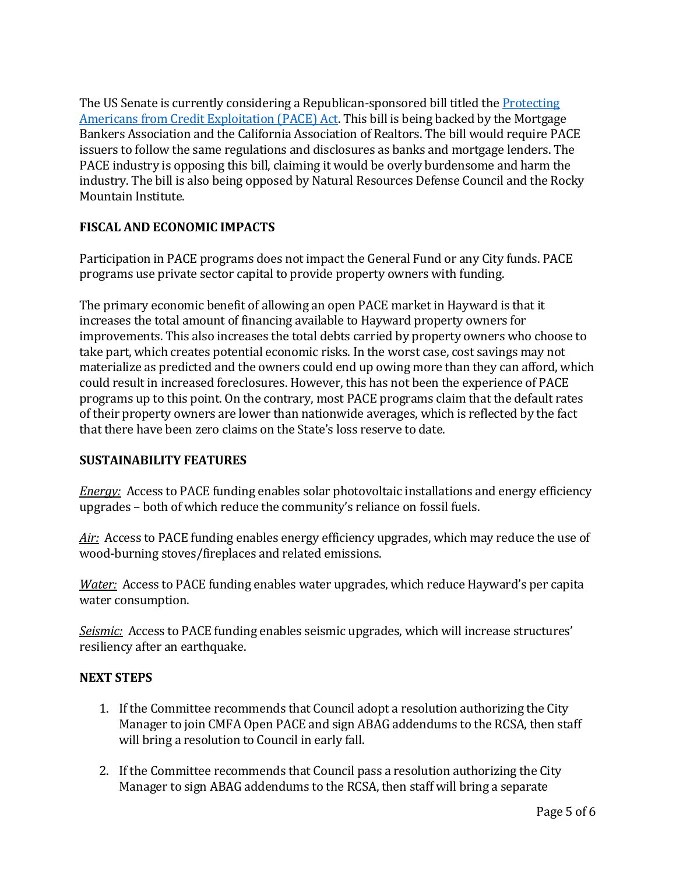The US Senate is currently considering a Republican-sponsored bill titled the [Protecting](https://www.congress.gov/bill/115th-congress/senate-bill/838) [Americans from Credit Exploitation \(PACE\) Act.](https://www.congress.gov/bill/115th-congress/senate-bill/838) This bill is being backed by the Mortgage Bankers Association and the California Association of Realtors. The bill would require PACE issuers to follow the same regulations and disclosures as banks and mortgage lenders. The PACE industry is opposing this bill, claiming it would be overly burdensome and harm the industry. The bill is also being opposed by Natural Resources Defense Council and the Rocky Mountain Institute.

# **FISCAL AND ECONOMIC IMPACTS**

Participation in PACE programs does not impact the General Fund or any City funds. PACE programs use private sector capital to provide property owners with funding.

The primary economic benefit of allowing an open PACE market in Hayward is that it increases the total amount of financing available to Hayward property owners for improvements. This also increases the total debts carried by property owners who choose to take part, which creates potential economic risks. In the worst case, cost savings may not materialize as predicted and the owners could end up owing more than they can afford, which could result in increased foreclosures. However, this has not been the experience of PACE programs up to this point. On the contrary, most PACE programs claim that the default rates of their property owners are lower than nationwide averages, which is reflected by the fact that there have been zero claims on the State's loss reserve to date.

# **SUSTAINABILITY FEATURES**

*Energy:* Access to PACE funding enables solar photovoltaic installations and energy efficiency upgrades – both of which reduce the community's reliance on fossil fuels.

Air: Access to PACE funding enables energy efficiency upgrades, which may reduce the use of wood-burning stoves/fireplaces and related emissions.

*Water:* Access to PACE funding enables water upgrades, which reduce Hayward's per capita water consumption.

*Seismic:* Access to PACE funding enables seismic upgrades, which will increase structures' resiliency after an earthquake.

# **NEXT STEPS**

- 1. If the Committee recommends that Council adopt a resolution authorizing the City Manager to join CMFA Open PACE and sign ABAG addendums to the RCSA, then staff will bring a resolution to Council in early fall.
- 2. If the Committee recommends that Council pass a resolution authorizing the City Manager to sign ABAG addendums to the RCSA, then staff will bring a separate